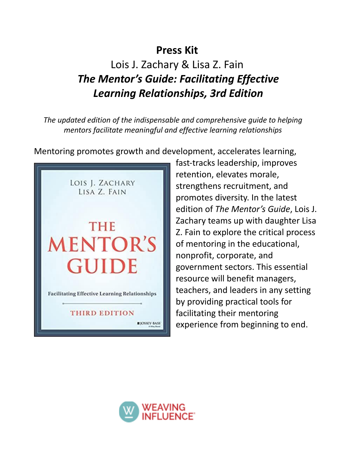## **Press Kit**

# Lois J. Zachary & Lisa Z. Fain *The Mentor's Guide: Facilitating Effective Learning Relationships, 3rd Edition*

*The updated edition of the indispensable and comprehensive guide to helping mentors facilitate meaningful and effective learning relationships*

Mentoring promotes growth and development, accelerates learning,



fast-tracks leadership, improves retention, elevates morale, strengthens recruitment, and promotes diversity. In the latest edition of *The Mentor's Guide*, Lois J. Zachary teams up with daughter Lisa Z. Fain to explore the critical process of mentoring in the educational, nonprofit, corporate, and government sectors. This essential resource will benefit managers, teachers, and leaders in any setting by providing practical tools for facilitating their mentoring experience from beginning to end.

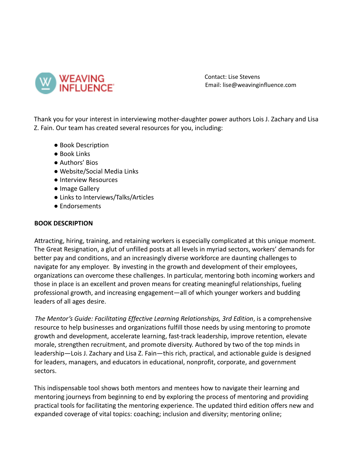

Contact: Lise Stevens Email: lise@weavinginfluence.com

Thank you for your interest in interviewing mother-daughter power authors Lois J. Zachary and Lisa Z. Fain. Our team has created several resources for you, including:

- Book Description
- Book Links
- Authors' Bios
- Website/Social Media Links
- Interview Resources
- Image Gallery
- Links to Interviews/Talks/Articles
- Endorsements

#### **BOOK DESCRIPTION**

Attracting, hiring, training, and retaining workers is especially complicated at this unique moment. The Great Resignation, a glut of unfilled posts at all levels in myriad sectors, workers' demands for better pay and conditions, and an increasingly diverse workforce are daunting challenges to navigate for any employer. By investing in the growth and development of their employees, organizations can overcome these challenges. In particular, mentoring both incoming workers and those in place is an excellent and proven means for creating meaningful relationships, fueling professional growth, and increasing engagement—all of which younger workers and budding leaders of all ages desire.

*The Mentor's Guide: Facilitating Effective Learning Relationships, 3rd Edition*, is a comprehensive resource to help businesses and organizations fulfill those needs by using mentoring to promote growth and development, accelerate learning, fast-track leadership, improve retention, elevate morale, strengthen recruitment, and promote diversity. Authored by two of the top minds in leadership—Lois J. Zachary and Lisa Z. Fain—this rich, practical, and actionable guide is designed for leaders, managers, and educators in educational, nonprofit, corporate, and government sectors.

This indispensable tool shows both mentors and mentees how to navigate their learning and mentoring journeys from beginning to end by exploring the process of mentoring and providing practical tools for facilitating the mentoring experience. The updated third edition offers new and expanded coverage of vital topics: coaching; inclusion and diversity; mentoring online;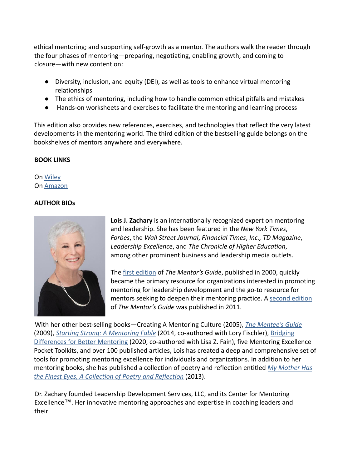ethical mentoring; and supporting self-growth as a mentor. The authors walk the reader through the four phases of mentoring—preparing, negotiating, enabling growth, and coming to closure—with new content on:

- Diversity, inclusion, and equity (DEI), as well as tools to enhance virtual mentoring relationships
- The ethics of mentoring, including how to handle common ethical pitfalls and mistakes
- Hands-on worksheets and exercises to facilitate the mentoring and learning process

This edition also provides new references, exercises, and technologies that reflect the very latest developments in the mentoring world. The third edition of the bestselling guide belongs on the bookshelves of mentors anywhere and everywhere.

## **BOOK LINKS**

On [Wiley](https://www.wiley.com/en-us/The+Mentor%27s+Guide%3A+Facilitating+Effective+Learning+Relationships%2C+3rd+Edition-p-9781119838180) On [Amazon](https://www.amazon.com/Mentors-Guide-Facilitating-Effective-Relationships/dp/1119838185)

## **AUTHOR BIOs**



**Lois J. Zachary** is an internationally recognized expert on mentoring and leadership. She has been featured in the *New York Times*, *Forbes*, the *Wall Street Journal*, *Financial Times*, *Inc., TD Magazine*, *Leadership Excellence*, and *The Chronicle of Higher Education*, among other prominent business and leadership media outlets.

The [first edition](https://www.amazon.com/Mentors-Guide-Facilitating-Effective-Relationships/dp/0787947423/ref=kwrp_li_std_nodl) of *The Mentor's Guide*, published in 2000, quickly became the primary resource for organizations interested in promoting mentoring for leadership development and the go-to resource for mentors seeking to deepen their mentoring practice. A [second edition](https://www.amazon.com/gp/product/B005OKPFR4/ref=dbs_a_def_rwt_bibl_vppi_i0) of *The Mentor's Guide* was published in 2011.

With her other best-selling books—Creating A Mentoring Culture (2005), *[The Mentee's Guide](https://www.amazon.com/Mentees-Guide-Making-Mentoring-Work/dp/0470343583/ref=sr_1_2?crid=1MYXNCFO94M3P&keywords=lois+zachary&qid=1645645405&s=audible&sprefix=lois+zachary%2Caudible%2C121)* (2009), *[Starting Strong: A Mentoring Fable](https://www.amazon.com/Starting-Strong-Mentoring-Lois-Zachary/dp/1118767713/ref=sr_1_1?crid=33F44IXKIE5KJ&keywords=starting+strong+a+mentoring+fable&qid=1652924486&sprefix=Starting+Strong+A+Men%2Caps%2C92&sr=8-1)* (2014, co-authored with Lory Fischler), [Bridging](https://www.amazon.com/Bridging-Differences-Better-Mentoring-Leverage/dp/1523085894/ref=tmm_pap_swatch_0?_encoding=UTF8&qid=1645645405&sr=1-2) [Differences for Better Mentoring](https://www.amazon.com/Bridging-Differences-Better-Mentoring-Leverage/dp/1523085894/ref=tmm_pap_swatch_0?_encoding=UTF8&qid=1645645405&sr=1-2) (2020, co-authored with Lisa Z. Fain), five Mentoring Excellence Pocket Toolkits, and over 100 published articles, Lois has created a deep and comprehensive set of tools for promoting mentoring excellence for individuals and organizations. In addition to her mentoring books, she has published a collection of poetry and reflection entitled *[My Mother Has](https://www.amazon.com/gp/product/1491200413/ref=dbs_a_def_rwt_bibl_vppi_i10) [the Finest Eyes, A Collection of Poetry and Reflection](https://www.amazon.com/gp/product/1491200413/ref=dbs_a_def_rwt_bibl_vppi_i10)* (2013).

Dr. Zachary founded Leadership Development Services, LLC, and its Center for Mentoring Excellence™. Her innovative mentoring approaches and expertise in coaching leaders and their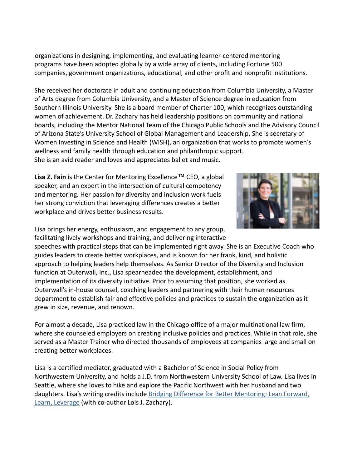organizations in designing, implementing, and evaluating learner-centered mentoring programs have been adopted globally by a wide array of clients, including Fortune 500 companies, government organizations, educational, and other profit and nonprofit institutions.

She received her doctorate in adult and continuing education from Columbia University, a Master of Arts degree from Columbia University, and a Master of Science degree in education from Southern Illinois University. She is a board member of Charter 100, which recognizes outstanding women of achievement. Dr. Zachary has held leadership positions on community and national boards, including the Mentor National Team of the Chicago Public Schools and the Advisory Council of Arizona State's University School of Global Management and Leadership. She is secretary of Women Investing in Science and Health (WISH), an organization that works to promote women's wellness and family health through education and philanthropic support. She is an avid reader and loves and appreciates ballet and music.

**Lisa Z. Fain** is the Center for Mentoring Excellence™ CEO, a global speaker, and an expert in the intersection of cultural competency and mentoring. Her passion for diversity and inclusion work fuels her strong conviction that leveraging differences creates a better workplace and drives better business results.



Lisa brings her energy, enthusiasm, and engagement to any group, facilitating lively workshops and training, and delivering interactive

speeches with practical steps that can be implemented right away. She is an Executive Coach who guides leaders to create better workplaces, and is known for her frank, kind, and holistic approach to helping leaders help themselves. As Senior Director of the Diversity and Inclusion function at Outerwall, Inc., Lisa spearheaded the development, establishment, and implementation of its diversity initiative. Prior to assuming that position, she worked as Outerwall's in-house counsel, coaching leaders and partnering with their human resources department to establish fair and effective policies and practices to sustain the organization as it grew in size, revenue, and renown.

For almost a decade, Lisa practiced law in the Chicago office of a major multinational law firm, where she counseled employers on creating inclusive policies and practices. While in that role, she served as a Master Trainer who directed thousands of employees at companies large and small on creating better workplaces.

Lisa is a certified mediator, graduated with a Bachelor of Science in Social Policy from Northwestern University, and holds a J.D. from Northwestern University School of Law. Lisa lives in Seattle, where she loves to hike and explore the Pacific Northwest with her husband and two daughters. Lisa's writing credits include Bridging [Difference for Better Mentoring: Lean Forward,](https://www.amazon.com/Bridging-Differences-Better-Mentoring-Leverage/dp/1523085894/ref=sr_1_1?crid=3URF2KYPQF1DY&keywords=Bridging+Difference+for+Better+Mentoring%3A+Lean+Forward%2C+Learn%2C&qid=1652925863&s=books&sprefix=bridging+difference+for+better+mentoring+lean+forward%2C+learn%2C+%2Cstripbooks%2C119&sr=1-1) [Learn, Leverage](https://www.amazon.com/Bridging-Differences-Better-Mentoring-Leverage/dp/1523085894/ref=sr_1_1?crid=3URF2KYPQF1DY&keywords=Bridging+Difference+for+Better+Mentoring%3A+Lean+Forward%2C+Learn%2C&qid=1652925863&s=books&sprefix=bridging+difference+for+better+mentoring+lean+forward%2C+learn%2C+%2Cstripbooks%2C119&sr=1-1) (with co-author Lois J. Zachary).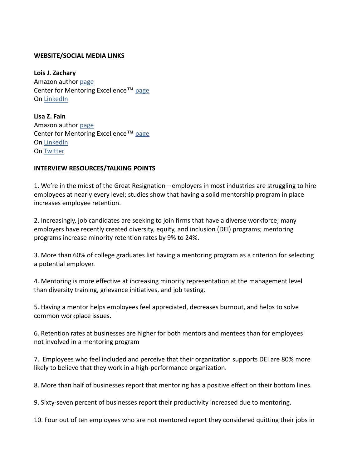#### **WEBSITE/SOCIAL MEDIA LINKS**

**Lois J. Zachary** Amazon author [page](https://www.amazon.com/Lois-J-Zachary/e/B001KC7THE?ref=sr_ntt_srch_lnk_1&qid=1652745685&sr=8-1) Center for Mentoring Excellence™ [page](https://www.centerformentoring.com/about-us/dr-lois-j-zachary) On [LinkedIn](https://www.linkedin.com/search/results/all/?keywords=lois%20zachary&origin=RICH_QUERY_SUGGESTION&position=0&searchId=7e519db6-4280-4a32-b6ea-ff9c06069640&sid=eG6)

**Lisa Z. Fain** Amazon author [page](https://www.amazon.com/Lisa-Z-Fain/e/B082BC344Y/ref=dp_byline_cont_pop_ebooks_1) Center for Mentoring Excellence™ [page](https://www.centerformentoring.com/about-us/lisa-fain) On [LinkedIn](https://www.linkedin.com/in/lisazfain/) On [Twitter](https://twitter.com/lzfain)

#### **INTERVIEW RESOURCES/TALKING POINTS**

1. We're in the midst of the Great Resignation—employers in most industries are struggling to hire employees at nearly every level; studies show that having a solid mentorship program in place increases employee retention.

2. Increasingly, job candidates are seeking to join firms that have a diverse workforce; many employers have recently created diversity, equity, and inclusion (DEI) programs; mentoring programs increase minority retention rates by 9% to 24%.

3. More than 60% of college graduates list having a mentoring program as a criterion for selecting a potential employer.

4. Mentoring is more effective at increasing minority representation at the management level than diversity training, grievance initiatives, and job testing.

5. Having a mentor helps employees feel appreciated, decreases burnout, and helps to solve common workplace issues.

6. Retention rates at businesses are higher for both mentors and mentees than for employees not involved in a mentoring program

7. Employees who feel included and perceive that their organization supports DEI are 80% more likely to believe that they work in a high-performance organization.

8. More than half of businesses report that mentoring has a positive effect on their bottom lines.

9. Sixty-seven percent of businesses report their productivity increased due to mentoring.

10. Four out of ten employees who are not mentored report they considered quitting their jobs in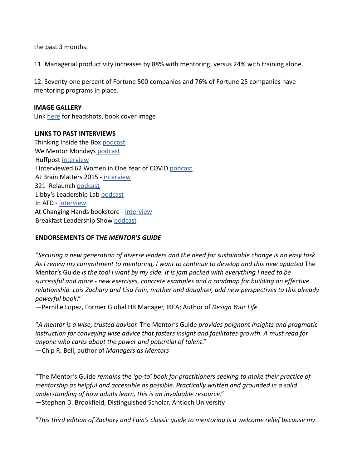the past 3 months.

11. Managerial productivity increases by 88% with mentoring, versus 24% with training alone.

12. Seventy-one percent of Fortune 500 companies and 76% of Fortune 25 companies have mentoring programs in place.

#### **IMAGE GALLERY**

Link [here](https://drive.google.com/drive/folders/1QKYi6kbQ4qQdtcLWh1qrOCmGkLyC2GWE) for headshots, book cover image

### **LINKS TO PAST INTERVIEWS**

Thinking Inside the Box [podcast](https://podcasts.apple.com/us/podcast/lisa-fain-a-future-for-mentoring/id1488514763?i=1000503279755) We Mentor Mondays [podcast](https://wementor.com/2021/10/25/celebrating-mentoring-excellence-with-lisa-fain/?utm_source=listennotes.com&utm_campaign=Listen+Notes&utm_medium=website) Huffpost [interview](https://www.huffpost.com/entry/the-state-of-corporate-mentoring-interview-with-dr_b_59b17ff5e4b0c50640cd657c) I Interviewed 62 Women in One Year of COVID [podcast](https://anchor.fm/erin-keam/episodes/Lisa-Z-Fain-from-the-Center-for-Mentoring-Excellence-on-her-book-Bridging-Differences-for-Better-Mentoring-and-M-M-LaFleur-esul4p?utm_source=listennotes.com&utm_campaign=Listen+Notes&utm_medium=website) At Brain Matters 2015 - [interview](https://learningtogo.info/learningtogo-podcast-dr-lois-zachary-at-brain-matters-2015-bringing-out-genius-with-mentoring-2/) 321 iRelaunch [podcast](https://soundcloud.com/irelaunch-llc/ep-221-how-mentoring-can-help-your-relaunch-and-beyond-with-lisa-fain-rebroadcast?utm_source=listennotes.com&utm_campaign=Listen+Notes&utm_medium=website) Libby's Leadership Lab [podcast](https://libbysleadershiplab.libsyn.com/the-right-way-to-find-a-mentor-with-lisa-fain?utm_source=listennotes.com&utm_campaign=Listen+Notes&utm_medium=website) In ATD - [interview](https://www.td.org/magazines/td-magazine/lois-zachary) At Changing Hands bookstore - [interview](https://www.changinghands.com/event/october2021/lisa-fain-and-lois-zachary) Breakfast Leadership Show [podcast](https://bfastleadership.podbean.com/e/interview-with-lisa-fain/?utm_source=listennotes.com&utm_campaign=Listen+Notes&utm_medium=website)

## **ENDORSEMENTS OF** *THE MENTOR'S GUIDE*

"*Securing a new generation of diverse leaders and the need for sustainable change is no easy task. As I renew my commitment to mentoring, I want to continue to develop and this new updated* The Mentor's Guide *is the tool I want by my side. It is jam packed with everything I need to be successful and more - new exercises, concrete examples and a roadmap for building an effective relationship. Lois Zachary and Lisa Fain, mother and daughter, add new perspectives to this already powerful book*."

—Pernille Lopez, Former Global HR Manager, IKEA; Author of *Design Your Life*

"*A mentor is a wise, trusted advisor.* The Mentor's Guide *provides poignant insights and pragmatic instruction for conveying wise advice that fosters insight and facilitates growth. A must read for anyone who cares about the power and potential of talent*." —Chip R. Bell, author of *Managers as Mentors*

"The Mentor's Guide *remains the 'go-to' book for practitioners seeking to make their practice of mentorship as helpful and accessible as possible. Practically written and grounded in a solid understanding of how adults learn, this is an invaluable resource*." —Stephen D. Brookfield, Distinguished Scholar, Antioch University

"*This third edition of Zachary and Fain's classic guide to mentoring is a welcome relief because my*